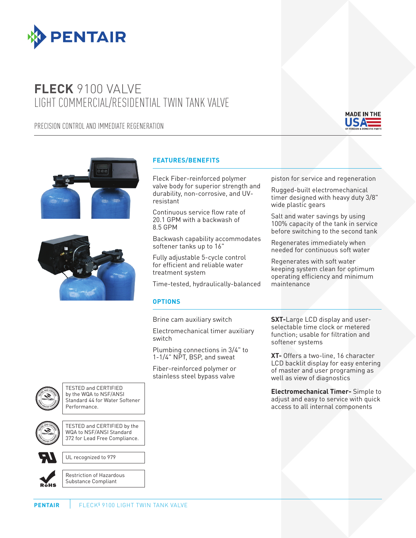

## **FLECK** 9100 VALVE LIGHT COMMERCIAL/RESIDENTIAL TWIN TANK VALVE

PRECISION CONTROL AND IMMEDIATE REGENERATION







## **FEATURES/BENEFITS**

Fleck Fiber-reinforced polymer valve body for superior strength and durability, non-corrosive, and UVresistant

Continuous service flow rate of 20.1 GPM with a backwash of 8.5 GPM

Backwash capability accommodates softener tanks up to 16"

Fully adjustable 5-cycle control for efficient and reliable water treatment system

Time-tested, hydraulically-balanced

## **OPTIONS**

Brine cam auxiliary switch

Electromechanical timer auxiliary switch

Plumbing connections in 3/4" to 1-1/4" NPT, BSP, and sweat

Fiber-reinforced polymer or stainless steel bypass valve

piston for service and regeneration

Rugged-built electromechanical timer designed with heavy duty 3/8" wide plastic gears

Salt and water savings by using 100% capacity of the tank in service before switching to the second tank

Regenerates immediately when needed for continuous soft water

Regenerates with soft water keeping system clean for optimum operating efficiency and minimum maintenance

**SXT-**Large LCD display and userselectable time clock or metered function; usable for filtration and softener systems

**XT-** Offers a two-line, 16 character LCD backlit display for easy entering of master and user programing as well as view of diagnostics

**Electromechanical Timer-** Simple to adjust and easy to service with quick access to all internal components



TESTED and CERTIFIED by the WQA to NSF/ANSI Standard 44 for Water Softener Performance.



TESTED and CERTIFIED by the WQA to NSF/ANSI Standard 372 for Lead Free Compliance.

UL recognized to 979



Restriction of Hazardous Substance Compliant